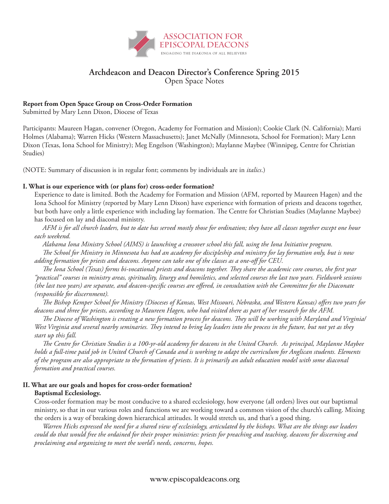

# **Archdeacon and Deacon Director's Conference Spring 2015**

Open Space Notes

## **Report from Open Space Group on Cross-Order Formation**

Submitted by Mary Lenn Dixon, Diocese of Texas

Participants: Maureen Hagan, convener (Oregon, Academy for Formation and Mission); Cookie Clark (N. California); Marti Holmes (Alabama); Warren Hicks (Western Massachusetts); Janet McNally (Minnesota, School for Formation); Mary Lenn Dixon (Texas, Iona School for Ministry); Meg Engelson (Washington); Maylanne Maybee (Winnipeg, Centre for Christian Studies)

(NOTE: Summary of discussion is in regular font; comments by individuals are in *italics*.)

### **I. What is our experience with (or plans for) cross-order formation?**

Experience to date is limited. Both the Academy for Formation and Mission (AFM, reported by Maureen Hagen) and the Iona School for Ministry (reported by Mary Lenn Dixon) have experience with formation of priests and deacons together, but both have only a little experience with including lay formation. The Centre for Christian Studies (Maylanne Maybee) has focused on lay and diaconal ministry.

*AFM is for all church leaders, but to date has served mostly those for ordination; they have all classes together except one hour each weekend.*

*Alabama Iona Ministry School (AIMS) is launching a crossover school this fall, using the Iona Initiative program.*

*The School for Ministry in Minnesota has had an academy for discipleship and ministry for lay formation only, but is now adding formation for priests and deacons. Anyone can take one of the classes as a one-off for CEU.*

*The Iona School (Texas) forms bi-vocational priests and deacons together. They share the academic core courses, the first year "practical" courses in ministry areas, spirituality, liturgy and homiletics, and selected courses the last two years. Fieldwork sessions (the last two years) are separate, and deacon-specific courses are offered, in consultation with the Committee for the Diaconate (responsible for discernment).*

*The Bishop Kemper School for Ministry (Dioceses of Kansas, West Missouri, Nebraska, and Western Kansas) offers two years for deacons and three for priests, according to Maureen Hagen, who had visited there as part of her research for the AFM.* 

*The Diocese of Washington is creating a new formation process for deacons. They will be working with Maryland and Virginia/ West Virginia and several nearby seminaries. They intend to bring lay leaders into the process in the future, but not yet as they start up this fall.*

*The Centre for Christian Studies is a 100-yr-old academy for deacons in the United Church. As principal, Maylanne Maybee holds a full-time paid job in United Church of Canada and is working to adapt the curriculum for Anglican students. Elements of the program are also appropriate to the formation of priests. It is primarily an adult education model with some diaconal formation and practical courses.*

### **II. What are our goals and hopes for cross-order formation? Baptismal Ecclesiology.**

Cross-order formation may be most conducive to a shared ecclesiology, how everyone (all orders) lives out our baptismal ministry, so that in our various roles and functions we are working toward a common vision of the church's calling. Mixing the orders is a way of breaking down hierarchical attitudes. It would stretch us, and that's a good thing.

*Warren Hicks expressed the need for a shared view of ecclesiology, articulated by the bishops. What are the things our leaders could do that would free the ordained for their proper ministries: priests for preaching and teaching, deacons for discerning and proclaiming and organizing to meet the world's needs, concerns, hopes.*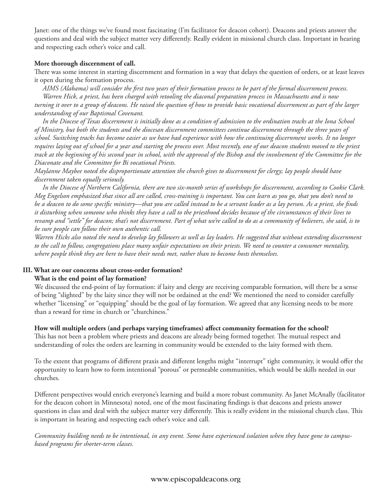Janet: one of the things we've found most fascinating (I'm facilitator for deacon cohort). Deacons and priests answer the questions and deal with the subject matter very differently. Really evident in missional church class. Important in hearing and respecting each other's voice and call.

### **More thorough discernment of call.**

There was some interest in starting discernment and formation in a way that delays the question of orders, or at least leaves it open during the formation process.

*AIMS (Alabama) will consider the first two years of their formation process to be part of the formal discernment process. Warren Hick, a priest, has been charged with retooling the diaconal preparation process in Massachusetts and is now turning it over to a group of deacons. He raised the question of how to provide basic vocational discernment as part of the larger understanding of our Baptismal Covenant.*

*In the Diocese of Texas discernment is initially done as a condition of admission to the ordination tracks at the Iona School of Ministry, but both the students and the diocesan discernment committees continue discernment through the three years of school. Switching tracks has become easier as we have had experience with how the continuing discernment works. It no longer requires laying out of school for a year and starting the process over. Most recently, one of our deacon students moved to the priest track at the beginning of his second year in school, with the approval of the Bishop and the involvement of the Committee for the Diaconate and the Committee for Bi vocational Priests.*

*Maylanne Maybee noted the disproportionate attention the church gives to discernment for clergy; lay people should have discernment taken equally seriously.*

*In the Diocese of Northern California, there are two six-month series of workshops for discernment, according to Cookie Clark. Meg Engelson emphasized that since all are called, cross-training is important. You can learn as you go, that you don't need to be a deacon to do some specific ministry—that you are called instead to be a servant leader as a lay person. As a priest, she finds it disturbing when someone who thinks they have a call to the priesthood decides because of the circumstances of their lives to revamp and "settle" for deacon; that's not discernment. Part of what we're called to do as a community of believers, she said, is to be sure people can follow their own authentic call.*

*Warren Hicks also noted the need to develop lay followers as well as lay leaders. He suggested that without extending discernment to the call to follow, congregations place many unfair expectations on their priests. We need to counter a consumer mentality, where people think they are here to have their needs met, rather than to become hosts themselves.*

# **III. What are our concerns about cross-order formation? What is the end point of lay formation?**

We discussed the end-point of lay formation: if laity and clergy are receiving comparable formation, will there be a sense of being "slighted" by the laity since they will not be ordained at the end? We mentioned the need to consider carefully whether "licensing" or "equipping" should be the goal of lay formation. We agreed that any licensing needs to be more than a reward for time in church or "churchiness."

### **How will multiple orders (and perhaps varying timeframes) affect community formation for the school?**

This has not been a problem where priests and deacons are already being formed together. The mutual respect and understanding of roles the orders are learning in community would be extended to the laity formed with them.

To the extent that programs of different praxis and different lengths might "interrupt" tight community, it would offer the opportunity to learn how to form intentional "porous" or permeable communities, which would be skills needed in our churches.

Different perspectives would enrich everyone's learning and build a more robust community. As Janet McAnally (facilitator for the deacon cohort in Minnesota) noted, one of the most fascinating findings is that deacons and priests answer questions in class and deal with the subject matter very differently. This is really evident in the missional church class. This is important in hearing and respecting each other's voice and call.

*Community building needs to be intentional, in any event. Some have experienced isolation when they have gone to campusbased programs for shorter-term classes.*